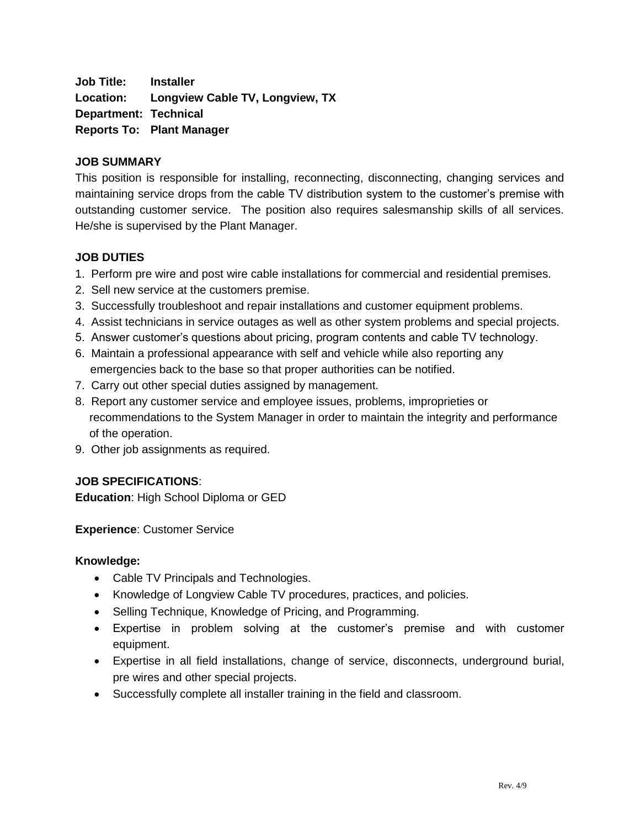**Job Title: Installer Location: Longview Cable TV, Longview, TX Department: Technical Reports To: Plant Manager**

### **JOB SUMMARY**

This position is responsible for installing, reconnecting, disconnecting, changing services and maintaining service drops from the cable TV distribution system to the customer's premise with outstanding customer service. The position also requires salesmanship skills of all services. He/she is supervised by the Plant Manager.

### **JOB DUTIES**

- 1. Perform pre wire and post wire cable installations for commercial and residential premises.
- 2. Sell new service at the customers premise.
- 3. Successfully troubleshoot and repair installations and customer equipment problems.
- 4. Assist technicians in service outages as well as other system problems and special projects.
- 5. Answer customer's questions about pricing, program contents and cable TV technology.
- 6. Maintain a professional appearance with self and vehicle while also reporting any emergencies back to the base so that proper authorities can be notified.
- 7. Carry out other special duties assigned by management.
- 8. Report any customer service and employee issues, problems, improprieties or recommendations to the System Manager in order to maintain the integrity and performance of the operation.
- 9. Other job assignments as required.

# **JOB SPECIFICATIONS**:

**Education**: High School Diploma or GED

**Experience**: Customer Service

### **Knowledge:**

- Cable TV Principals and Technologies.
- Knowledge of Longview Cable TV procedures, practices, and policies.
- Selling Technique, Knowledge of Pricing, and Programming.
- Expertise in problem solving at the customer's premise and with customer equipment.
- Expertise in all field installations, change of service, disconnects, underground burial, pre wires and other special projects.
- Successfully complete all installer training in the field and classroom.